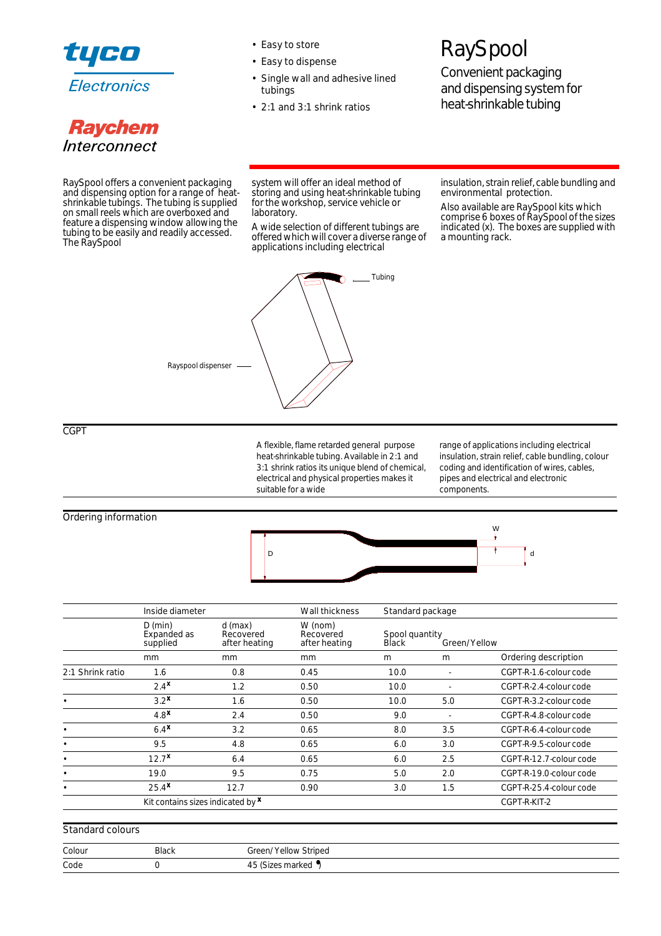

# **Raychem** Interconnect

- Easy to store
- Easy to dispense
- Single wall and adhesive lined tubings
- 2:1 and 3:1 shrink ratios

# **RaySpool**

Convenient packaging and dispensing system for heat-shrinkable tubing

RaySpool offers a convenient packaging and dispensing option for a range of heatshrinkable tubings. The tubing is supplied on small reels which are overboxed and feature a dispensing window allowing the tubing to be easily and readily accessed. The RaySpool

system will offer an ideal method of storing and using heat-shrinkable tubing for the workshop, service vehicle or laboratory.

A wide selection of different tubings are offered which will cover a diverse range of applications including electrical



insulation, strain relief, cable bundling and environmental protection.

Also available are RaySpool kits which comprise 6 boxes of RaySpool of the sizes indicated (x). The boxes are supplied with a mounting rack.

CGPT

A flexible, flame retarded general purpose heat-shrinkable tubing. Available in 2:1 and 3:1 shrink ratios its unique blend of chemical, electrical and physical properties makes it suitable for a wide

range of applications including electrical insulation, strain relief, cable bundling, colour coding and identification of wires, cables, pipes and electrical and electronic components.

Ordering information



|                  | Inside diameter                          |                                         | Wall thickness                        | Standard package               |              |                         |
|------------------|------------------------------------------|-----------------------------------------|---------------------------------------|--------------------------------|--------------|-------------------------|
|                  | $D$ (min)<br>Expanded as<br>supplied     | $d$ (max)<br>Recovered<br>after heating | W (nom)<br>Recovered<br>after heating | Spool quantity<br><b>Black</b> | Green/Yellow |                         |
|                  | mm                                       | mm                                      | <sub>mm</sub>                         | m                              | m            | Ordering description    |
| 2:1 Shrink ratio | 1.6                                      | 0.8                                     | 0.45                                  | 10.0                           |              | CGPT-R-1.6-colour code  |
|                  | $2.4^{\mathbf{X}}$                       | 1.2                                     | 0.50                                  | 10.0                           |              | CGPT-R-2.4-colour code  |
|                  | 3.2 <sup>x</sup>                         | 1.6                                     | 0.50                                  | 10.0                           | 5.0          | CGPT-R-3.2-colour code  |
|                  | 4.8 <sup>x</sup>                         | 2.4                                     | 0.50                                  | 9.0                            |              | CGPT-R-4.8-colour code  |
|                  | 6.4 <sup>x</sup>                         | 3.2                                     | 0.65                                  | 8.0                            | 3.5          | CGPT-R-6.4-colour code  |
|                  | 9.5                                      | 4.8                                     | 0.65                                  | 6.0                            | 3.0          | CGPT-R-9.5-colour code  |
|                  | $12.7^{\text{X}}$                        | 6.4                                     | 0.65                                  | 6.0                            | 2.5          | CGPT-R-12.7-colour code |
|                  | 19.0                                     | 9.5                                     | 0.75                                  | 5.0                            | 2.0          | CGPT-R-19.0-colour code |
|                  | $25.4$ <sup>x</sup>                      | 12.7                                    | 0.90                                  | 3.0                            | 1.5          | CGPT-R-25.4-colour code |
|                  | Kit contains sizes indicated by <b>x</b> |                                         |                                       |                                |              | CGPT-R-KIT-2            |

### Standard colours

| Colour | <b>Black</b> | Green/Yellow Striped |
|--------|--------------|----------------------|
| Code   |              | 45 (Sizes marked •)  |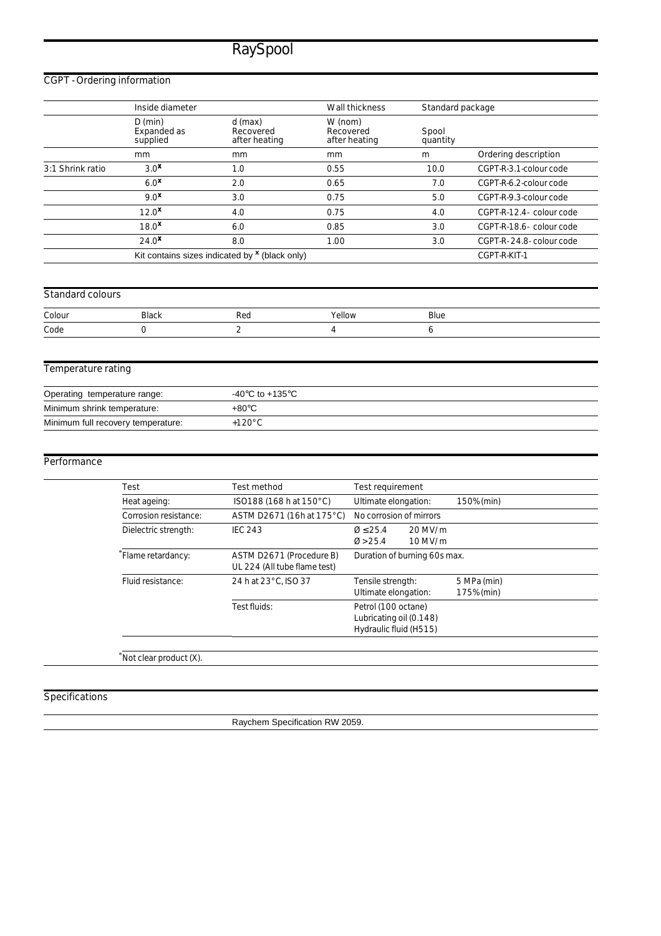## CGPT - Ordering information

|                                    | Inside diameter                      |                                                       | Wall thickness                        | Standard package  |                          |
|------------------------------------|--------------------------------------|-------------------------------------------------------|---------------------------------------|-------------------|--------------------------|
|                                    | $D$ (min)<br>Expanded as<br>supplied | $d$ (max)<br>Recovered<br>after heating               | W (nom)<br>Recovered<br>after heating | Spool<br>quantity |                          |
|                                    | mm                                   | mm                                                    | mm                                    | m                 | Ordering description     |
| 3:1 Shrink ratio                   | 3.0 <sup>x</sup>                     | 1.0                                                   | 0.55                                  | 10.0              | CGPT-R-3.1-colour code   |
|                                    | 6.0 <sup>x</sup>                     | 2.0                                                   | 0.65                                  | 7.0               | CGPT-R-6.2-colour code   |
|                                    | 9.0 <sup>x</sup>                     | 3.0                                                   | 0.75                                  | 5.0               | CGPT-R-9.3-colour code   |
|                                    | $12.0^{\text{X}}$                    | 4.0                                                   | 0.75                                  | 4.0               | CGPT-R-12.4- colour code |
|                                    | 18.0 <sup>x</sup>                    | 6.0                                                   | 0.85                                  | 3.0               | CGPT-R-18.6- colour code |
|                                    | $24.0^{\star}$                       | 8.0                                                   | 1.00                                  | 3.0               | CGPT-R-24.8- colour code |
|                                    |                                      | Kit contains sizes indicated by $x$ (black only)      |                                       |                   | CGPT-R-KIT-1             |
|                                    |                                      |                                                       |                                       |                   |                          |
| Standard colours                   |                                      |                                                       |                                       |                   |                          |
| Colour                             | <b>Black</b>                         | Red                                                   | Yellow                                | Blue              |                          |
| Code                               | 0                                    | $\overline{2}$                                        | 4                                     | 6                 |                          |
| Temperature rating                 |                                      |                                                       |                                       |                   |                          |
|                                    |                                      |                                                       |                                       |                   |                          |
| Operating temperature range:       |                                      | -40 $\mathrm{^{\circ}C}$ to +135 $\mathrm{^{\circ}C}$ |                                       |                   |                          |
| Minimum shrink temperature:        |                                      | $+80^{\circ}$ C                                       |                                       |                   |                          |
| Minimum full recovery temperature: |                                      | $+120^{\circ}$ C                                      |                                       |                   |                          |

### Performance

| Test method                                              | Test requirement                                                         |                           |
|----------------------------------------------------------|--------------------------------------------------------------------------|---------------------------|
| ISO188 (168 h at 150°C)                                  | Ultimate elongation:                                                     | 150% (min)                |
| ASTM D2671 (16h at 175°C)                                | No corrosion of mirrors                                                  |                           |
| <b>IEC 243</b>                                           | $0 \le 25.4$<br>$20$ MV/m<br>$10$ MV/m<br>$\varnothing$ > 25.4           |                           |
| ASTM D2671 (Procedure B)<br>UL 224 (All tube flame test) | Duration of burning 60s max.                                             |                           |
| 24 h at 23°C. ISO 37                                     | Tensile strength:<br>Ultimate elongation:                                | 5 MPa (min)<br>175% (min) |
| Test fluids:                                             | Petrol (100 octane)<br>Lubricating oil (0.148)<br>Hydraulic fluid (H515) |                           |
|                                                          |                                                                          |                           |

\*Not clear product (X).

### Specifications

Raychem Specification RW 2059.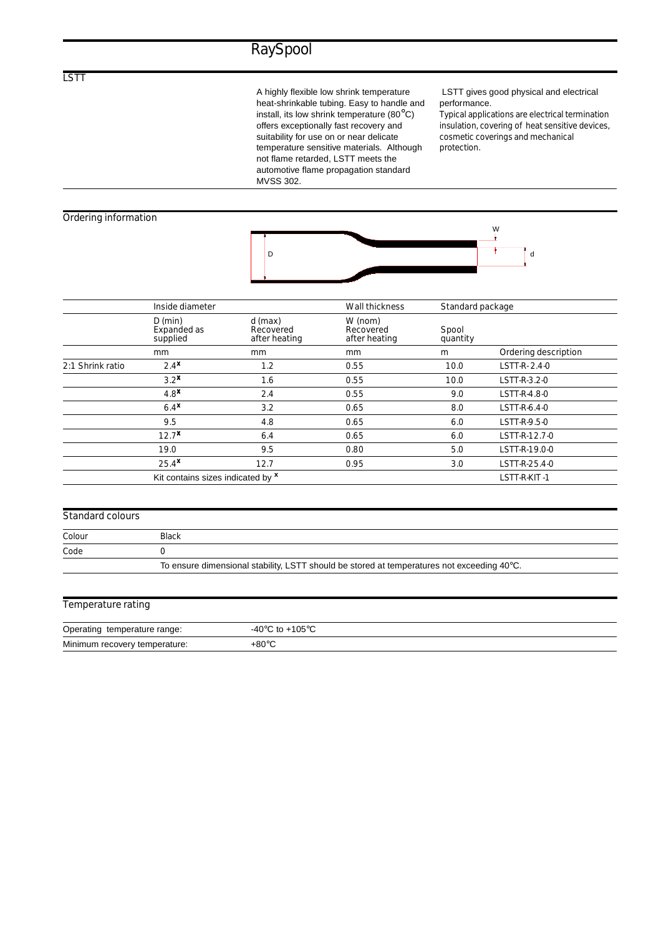A highly flexible low shrink temperature heat-shrinkable tubing. Easy to handle and install, its low shrink temperature (80°C) offers exceptionally fast recovery and suitability for use on or near delicate temperature sensitive materials. Although not flame retarded, LSTT meets the automotive flame propagation standard MVSS 302.

### LSTT gives good physical and electrical performance.

Typical applications are electrical termination insulation, covering of heat sensitive devices, cosmetic coverings and mechanical protection.

### Ordering information



|                  | Inside diameter                      |                                       | Wall thickness                        | Standard package  |                      |
|------------------|--------------------------------------|---------------------------------------|---------------------------------------|-------------------|----------------------|
|                  | $D$ (min)<br>Expanded as<br>supplied | d (max)<br>Recovered<br>after heating | W (nom)<br>Recovered<br>after heating | Spool<br>quantity |                      |
|                  | mm                                   | mm                                    | <sub>mm</sub>                         | m                 | Ordering description |
| 2:1 Shrink ratio | 2.4 <sup>x</sup>                     | 1.2                                   | 0.55                                  | 10.0              | LSTT-R-2.4-0         |
|                  | 3.2 <sup>x</sup>                     | 1.6                                   | 0.55                                  | 10.0              | LSTT-R-3.2-0         |
|                  | 4.8 <sup>x</sup>                     | 2.4                                   | 0.55                                  | 9.0               | LSTT-R-4.8-0         |
|                  | 6.4 <sup>x</sup>                     | 3.2                                   | 0.65                                  | 8.0               | LSTT-R-6.4-0         |
|                  | 9.5                                  | 4.8                                   | 0.65                                  | 6.0               | LSTT-R-9.5-0         |
|                  | $12.7^{\text{X}}$                    | 6.4                                   | 0.65                                  | 6.0               | LSTT-R-12.7-0        |
|                  | 19.0                                 | 9.5                                   | 0.80                                  | 5.0               | LSTT-R-19.0-0        |
|                  | $25.4$ <sup>x</sup>                  | 12.7                                  | 0.95                                  | 3.0               | LSTT-R-25.4-0        |
|                  | Kit contains sizes indicated by x    |                                       |                                       |                   | LSTT-R-KIT-1         |

#### Standard colours

| Colour | <b>Black</b>                                                                               |  |
|--------|--------------------------------------------------------------------------------------------|--|
| Code   |                                                                                            |  |
|        | To ensure dimensional stability, LSTT should be stored at temperatures not exceeding 40°C. |  |

| Temperature rating |  |
|--------------------|--|
|                    |  |

| Operating temperature range:  | -40 $^{\circ}$ C to +105 $^{\circ}$ C |
|-------------------------------|---------------------------------------|
| Minimum recovery temperature: | +80°C                                 |

LSTT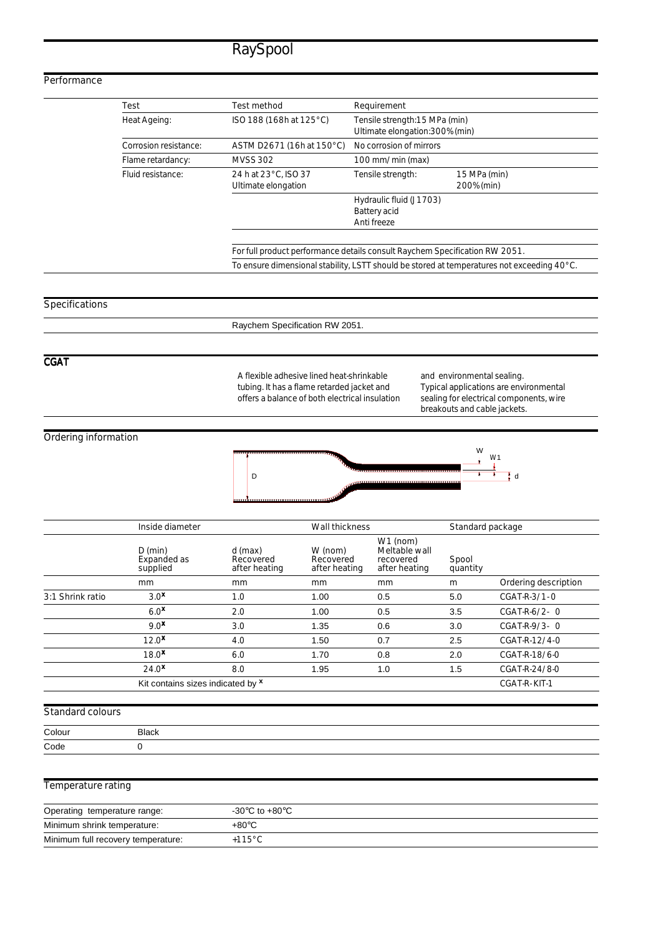### **Performance**

| Test                  | Test method                                                                 | Requirement                                                      |                                                                                            |
|-----------------------|-----------------------------------------------------------------------------|------------------------------------------------------------------|--------------------------------------------------------------------------------------------|
| Heat Ageing:          | ISO 188 (168h at 125 °C)                                                    | Tensile strength:15 MPa (min)<br>Ultimate elongation: 300% (min) |                                                                                            |
| Corrosion resistance: | ASTM D2671 (16h at 150°C)                                                   | No corrosion of mirrors                                          |                                                                                            |
| Flame retardancy:     | <b>MVSS 302</b>                                                             | 100 mm/min (max)                                                 |                                                                                            |
| Fluid resistance:     | 24 h at 23°C. ISO 37<br>Ultimate elongation                                 | Tensile strength:                                                | 15 MPa (min)<br>200% (min)                                                                 |
|                       |                                                                             | Hydraulic fluid (J1703)<br>Battery acid<br>Anti freeze           |                                                                                            |
|                       | For full product performance details consult Raychem Specification RW 2051. |                                                                  |                                                                                            |
|                       |                                                                             |                                                                  | To ensure dimensional stability, LSTT should be stored at temperatures not exceeding 40°C. |

### Specifications

Raychem Specification RW 2051.

### **CGAT**

A flexible adhesive lined heat-shrinkable tubing. It has a flame retarded jacket and offers a balance of both electrical insulation and environmental sealing. Typical applications are environmental sealing for electrical components, wire breakouts and cable jackets.

### Ordering information



|                  | Inside diameter                      |                                       |                                       | Wall thickness                                            |                   | Standard package     |  |
|------------------|--------------------------------------|---------------------------------------|---------------------------------------|-----------------------------------------------------------|-------------------|----------------------|--|
|                  | $D$ (min)<br>Expanded as<br>supplied | d (max)<br>Recovered<br>after heating | W (nom)<br>Recovered<br>after heating | $W1$ (nom)<br>Meltable wall<br>recovered<br>after heating | Spool<br>quantity |                      |  |
|                  | mm                                   | mm                                    | mm                                    | mm                                                        | m                 | Ordering description |  |
| 3:1 Shrink ratio | 3.0 <sup>x</sup>                     | 1.0                                   | 1.00                                  | 0.5                                                       | 5.0               | CGAT-R-3/1-0         |  |
|                  | 6.0 <sup>x</sup>                     | 2.0                                   | 1.00                                  | 0.5                                                       | 3.5               | $CGAT-R-6/2-0$       |  |
|                  | 9.0 <sup>x</sup>                     | 3.0                                   | 1.35                                  | 0.6                                                       | 3.0               | $CGAT-R-9/3-0$       |  |
|                  | 12.0 <sup>x</sup>                    | 4.0                                   | 1.50                                  | 0.7                                                       | 2.5               | CGAT-R-12/4-0        |  |
|                  | 18.0 <sup>x</sup>                    | 6.0                                   | 1.70                                  | 0.8                                                       | 2.0               | CGAT-R-18/6-0        |  |
|                  | $24.0^{\text{X}}$                    | 8.0                                   | 1.95                                  | 1.0                                                       | 1.5               | CGAT-R-24/8-0        |  |
|                  | Kit contains sizes indicated by x    |                                       |                                       |                                                           |                   | CGAT-R-KIT-1         |  |

### Standard colours

| Colour | Black |
|--------|-------|
| Code   |       |

### Temperature rating

| Operating temperature range:       | $-30^{\circ}$ C to $+80^{\circ}$ C |
|------------------------------------|------------------------------------|
| Minimum shrink temperature:        | +80°C                              |
| Minimum full recovery temperature: | 115°C.                             |